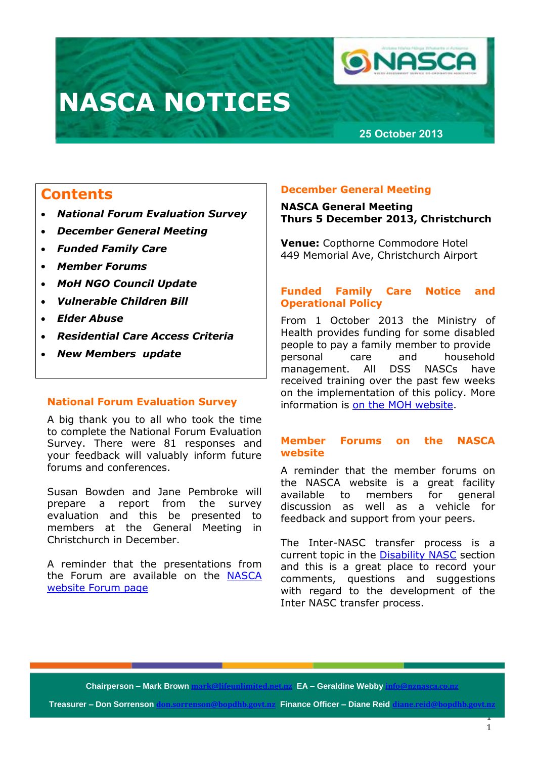# **NASCA NOTICES**

**26 September 2021226 September 20212**



# **25 October 2013**

# **Contents**

- *National Forum Evaluation Survey*
- *December General Meeting*
- *Funded Family Care*
- *Member Forums*
- *MoH NGO Council Update*
- *Vulnerable Children Bill*
- *Elder Abuse*
- *Residential Care Access Criteria*
- *New Members update*

# **National Forum Evaluation Survey**

A big thank you to all who took the time to complete the National Forum Evaluation Survey. There were 81 responses and your feedback will valuably inform future forums and conferences.

Susan Bowden and Jane Pembroke will prepare a report from the survey evaluation and this be presented to members at the General Meeting in Christchurch in December.

A reminder that the presentations from the Forum are available on the [NASCA](http://www.nznasca.co.nz/membership/member-reference-and-documents/meeting-minutes/national-forum-2013-presentations-and-papers/)  [website Forum page](http://www.nznasca.co.nz/membership/member-reference-and-documents/meeting-minutes/national-forum-2013-presentations-and-papers/)

# **December General Meeting**

# **NASCA General Meeting Thurs 5 December 2013, Christchurch**

**Venue:** Copthorne Commodore Hotel 449 Memorial Ave, Christchurch Airport

# **Funded Family Care Notice and Operational Policy**

From 1 October 2013 the Ministry of Health provides funding for some disabled people to pay a family member to provide personal care and household management. All DSS NASCs have received training over the past few weeks on the implementation of this policy. More information is [on the MOH website.](https://www.health.govt.nz/our-work/disability-services/disability-projects-and-programmes/funded-family-care-notice-and-operational-policy)

# **Member Forums on the NASCA website**

A reminder that the member forums on the NASCA website is a great facility available to members for general discussion as well as a vehicle for feedback and support from your peers.

The Inter-NASC transfer process is a current topic in the **Disability NASC** section and this is a great place to record your comments, questions and suggestions with regard to the development of the Inter NASC transfer process.

**Chairperson – Mark Br Chairperson – Mark Brown mark@lifeunlimited.net.nz EA – Geraldine Webby info@nznasca.co.nz**

**Treasurer – Don Sorrenson <b>don.sorrenson@bopdhb.govt.nz** Finance Officer – Diane Reid **d**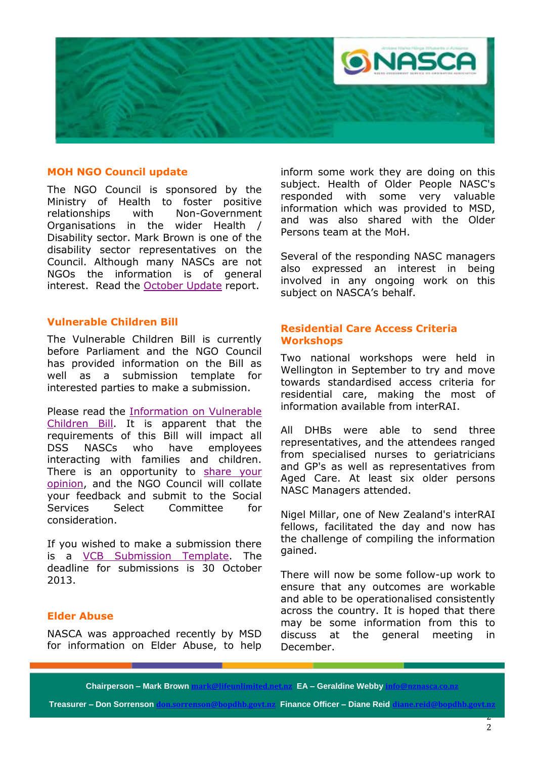

#### **MOH NGO Council update**

The NGO Council is sponsored by the Ministry of Health to foster positive relationships with Non-Government Organisations in the wider Health / Disability sector. Mark Brown is one of the disability sector representatives on the Council. Although many NASCs are not NGOs the information is of general interest. Read the [October Update](http://www.nznasca.co.nz/?wpdmdl=230) report.

# **Vulnerable Children Bill**

The Vulnerable Children Bill is currently before Parliament and the NGO Council has provided information on the Bill as well as a submission template for interested parties to make a submission.

Please read the [Information on Vulnerable](http://www.nznasca.co.nz/?wpdmdl=228)  [Children Bill.](http://www.nznasca.co.nz/?wpdmdl=228) It is apparent that the requirements of this Bill will impact all DSS NASCs who have employees interacting with families and children. There is an opportunity to [share your](http://www.surveymonkey.com/s/DWKMBQD)  [opinion,](http://www.surveymonkey.com/s/DWKMBQD) and the NGO Council will collate your feedback and submit to the Social Services Select Committee for consideration.

If you wished to make a submission there is a [VCB Submission Template.](http://www.nznasca.co.nz/?wpdmdl=229) The deadline for submissions is 30 October 2013.

# **Elder Abuse**

NASCA was approached recently by MSD for information on Elder Abuse, to help inform some work they are doing on this subject. Health of Older People NASC's responded with some very valuable information which was provided to MSD, and was also shared with the Older Persons team at the MoH.

Several of the responding NASC managers also expressed an interest in being involved in any ongoing work on this subject on NASCA's behalf.

### **Residential Care Access Criteria Workshops**

Two national workshops were held in Wellington in September to try and move towards standardised access criteria for residential care, making the most of information available from interRAI.

All DHBs were able to send three representatives, and the attendees ranged from specialised nurses to geriatricians and GP's as well as representatives from Aged Care. At least six older persons NASC Managers attended.

Nigel Millar, one of New Zealand's interRAI fellows, facilitated the day and now has the challenge of compiling the information gained.

There will now be some follow-up work to ensure that any outcomes are workable and able to be operationalised consistently across the country. It is hoped that there may be some information from this to discuss at the general meeting in December.

**Chairperson – Mark Brown mark** 

**Treasurer – Don Sorrenson don.sorrenson@bopdhb.govt.nz Finance Officer – Diane Reid diane.reid@bopdhb.govt.nz**

**CA – Geraldine Webby in**